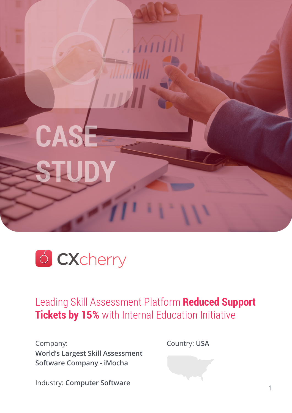



Leading Skill Assessment Platform **Reduced Support Tickets by 15%** with Internal Education Initiative

Company: **World's Largest Skill Assessment Software Company - iMocha**

Country: **USA**

Industry: **Computer Software**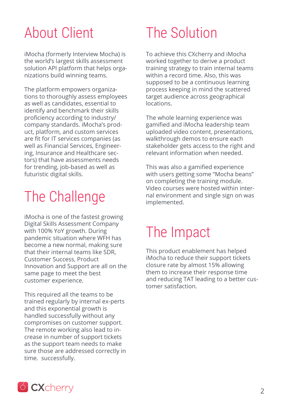## About Client

iMocha (formerly Interview Mocha) is the world's largest skills assessment solution API platform that helps organizations build winning teams.

The platform empowers organizations to thoroughly assess employees as well as candidates, essential to identify and benchmark their skills proficiency according to industry/ company standards. iMocha's product, platform, and custom services are fit for IT services companies (as well as Financial Services, Engineering, Insurance and Healthcare sectors) that have assessments needs for trending, job-based as well as futuristic digital skills.

# The Challenge

iMocha is one of the fastest growing Digital Skills Assessment Company with 100% YoY growth. During pandemic situation where WFH has become a new normal, making sure that their internal teams like SDR, Customer Success, Product Innovation and Support are all on the same page to meet the best customer experience.

This required all the teams to be trained regularly by internal ex-perts and this exponential growth is handled successfully without any compromises on customer support. The remote working also lead to increase in number of support tickets as the support team needs to make sure those are addressed correctly in time. successfully.

## The Solution

To achieve this CXcherry and iMocha worked together to derive a product training strategy to train internal teams within a record time. Also, this was supposed to be a continuous learning process keeping in mind the scattered target audience across geographical locations.

The whole learning experience was gamified and iMocha leadership team uploaded video content, presentations, walkthrough demos to ensure each stakeholder gets access to the right and relevant information when needed.

This was also a gamified experience with users getting some "Mocha beans" on completing the training module. Video courses were hosted within internal environment and single sign on was implemented.

## The Impact

This product enablement has helped iMocha to reduce their support tickets closure rate by almost 15% allowing them to increase their response time and reducing TAT leading to a better customer satisfaction.